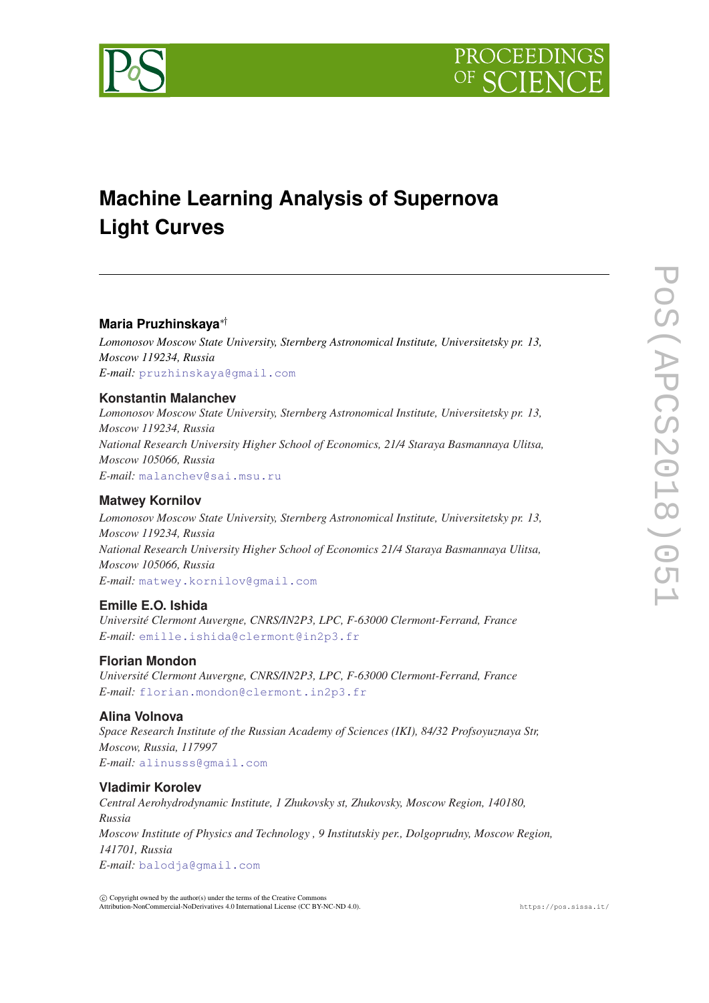



# **Machine Learning Analysis of Supernova Light Curves**

# **Maria Pruzhinskaya**∗†

*Lomonosov Moscow State University, Sternberg Astronomical Institute, Universitetsky pr. 13, Moscow 119234, Russia E-mail:* [pruzhinskaya@gmail.com](mailto:pruzhinskaya@gmail.com)

# **Konstantin Malanchev**

*Lomonosov Moscow State University, Sternberg Astronomical Institute, Universitetsky pr. 13, Moscow 119234, Russia National Research University Higher School of Economics, 21/4 Staraya Basmannaya Ulitsa, Moscow 105066, Russia E-mail:* [malanchev@sai.msu.ru](mailto:malanchev@sai.msu.ru)

# **Matwey Kornilov**

*Lomonosov Moscow State University, Sternberg Astronomical Institute, Universitetsky pr. 13, Moscow 119234, Russia National Research University Higher School of Economics 21/4 Staraya Basmannaya Ulitsa, Moscow 105066, Russia E-mail:* [matwey.kornilov@gmail.com](mailto:matwey.kornilov@gmail.com)

# **Emille E.O. Ishida**

*Université Clermont Auvergne, CNRS/IN2P3, LPC, F-63000 Clermont-Ferrand, France E-mail:* [emille.ishida@clermont@in2p3.fr](mailto:emille.ishida@clermont@in2p3.fr)

# **Florian Mondon**

*Université Clermont Auvergne, CNRS/IN2P3, LPC, F-63000 Clermont-Ferrand, France E-mail:* [florian.mondon@clermont.in2p3.fr](mailto:florian.mondon@clermont.in2p3.fr)

# **Alina Volnova**

*Space Research Institute of the Russian Academy of Sciences (IKI), 84/32 Profsoyuznaya Str, Moscow, Russia, 117997 E-mail:* [alinusss@gmail.com](mailto:alinusss@gmail.com)

# **Vladimir Korolev**

*Central Aerohydrodynamic Institute, 1 Zhukovsky st, Zhukovsky, Moscow Region, 140180, Russia Moscow Institute of Physics and Technology , 9 Institutskiy per., Dolgoprudny, Moscow Region, 141701, Russia E-mail:* [balodja@gmail.com](mailto:balodja@gmail.com)

 $(C)$  Copyright owned by the author(s) under the terms of the Creative Commons Attribution-NonCommercial-NoDerivatives 4.0 International License (CC BY-NC-ND 4.0). https://pos.sissa.it/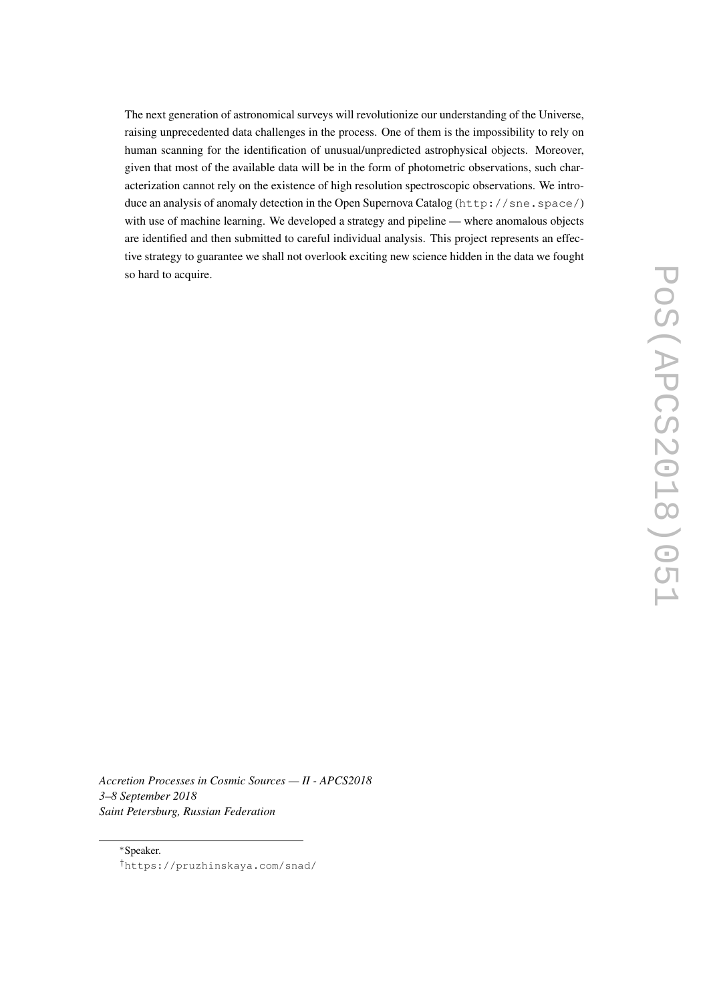The next generation of astronomical surveys will revolutionize our understanding of the Universe, raising unprecedented data challenges in the process. One of them is the impossibility to rely on human scanning for the identification of unusual/unpredicted astrophysical objects. Moreover, given that most of the available data will be in the form of photometric observations, such characterization cannot rely on the existence of high resolution spectroscopic observations. We introduce an analysis of anomaly detection in the Open Supernova Catalog (http://sne.space/) with use of machine learning. We developed a strategy and pipeline — where anomalous objects are identified and then submitted to careful individual analysis. This project represents an effective strategy to guarantee we shall not overlook exciting new science hidden in the data we fought so hard to acquire.

*Accretion Processes in Cosmic Sources — II - APCS2018 3–8 September 2018 Saint Petersburg, Russian Federation*

<sup>∗</sup>Speaker. †https://pruzhinskaya.com/snad/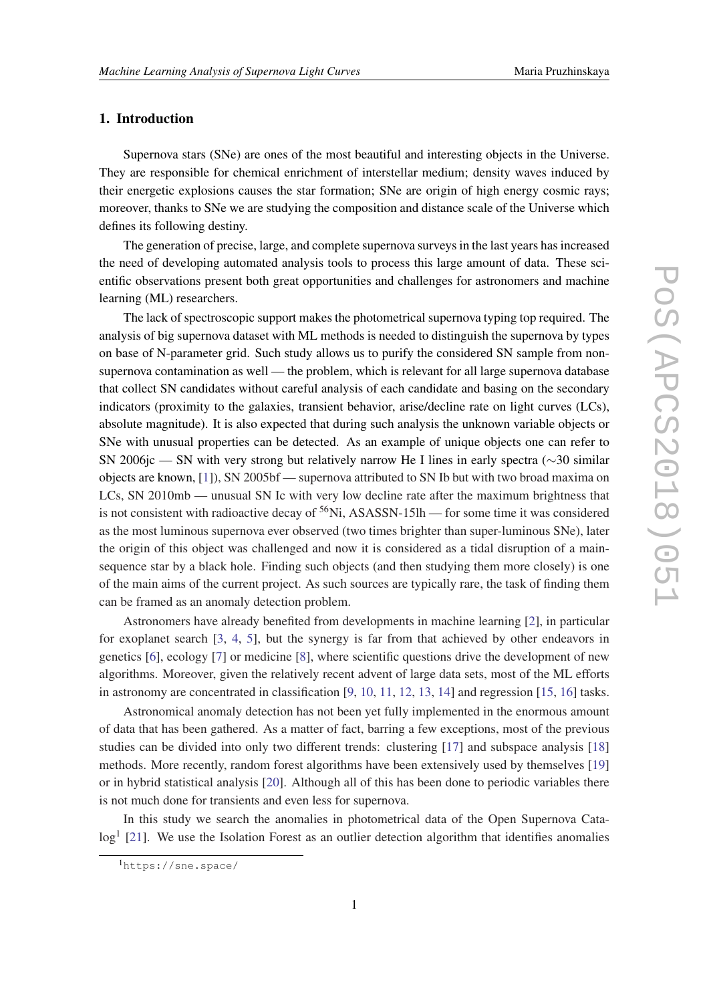## 1. Introduction

Supernova stars (SNe) are ones of the most beautiful and interesting objects in the Universe. They are responsible for chemical enrichment of interstellar medium; density waves induced by their energetic explosions causes the star formation; SNe are origin of high energy cosmic rays; moreover, thanks to SNe we are studying the composition and distance scale of the Universe which defines its following destiny.

The generation of precise, large, and complete supernova surveys in the last years has increased the need of developing automated analysis tools to process this large amount of data. These scientific observations present both great opportunities and challenges for astronomers and machine learning (ML) researchers.

The lack of spectroscopic support makes the photometrical supernova typing top required. The analysis of big supernova dataset with ML methods is needed to distinguish the supernova by types on base of N-parameter grid. Such study allows us to purify the considered SN sample from nonsupernova contamination as well — the problem, which is relevant for all large supernova database that collect SN candidates without careful analysis of each candidate and basing on the secondary indicators (proximity to the galaxies, transient behavior, arise/decline rate on light curves (LCs), absolute magnitude). It is also expected that during such analysis the unknown variable objects or SNe with unusual properties can be detected. As an example of unique objects one can refer to SN 2006jc — SN with very strong but relatively narrow He I lines in early spectra (∼30 similar objects are known, [\[1\]](#page-9-0)), SN 2005bf — supernova attributed to SN Ib but with two broad maxima on LCs, SN 2010mb — unusual SN Ic with very low decline rate after the maximum brightness that is not consistent with radioactive decay of  $56Ni$ , ASASSN-15lh — for some time it was considered as the most luminous supernova ever observed (two times brighter than super-luminous SNe), later the origin of this object was challenged and now it is considered as a tidal disruption of a mainsequence star by a black hole. Finding such objects (and then studying them more closely) is one of the main aims of the current project. As such sources are typically rare, the task of finding them can be framed as an anomaly detection problem.

Astronomers have already benefited from developments in machine learning [\[2\]](#page-9-0), in particular for exoplanet search [\[3,](#page-10-0) [4](#page-10-0), [5\]](#page-10-0), but the synergy is far from that achieved by other endeavors in genetics [[6](#page-10-0)], ecology [\[7\]](#page-10-0) or medicine [[8](#page-10-0)], where scientific questions drive the development of new algorithms. Moreover, given the relatively recent advent of large data sets, most of the ML efforts in astronomy are concentrated in classification [[9](#page-10-0), [10](#page-10-0), [11,](#page-10-0) [12,](#page-10-0) [13](#page-10-0), [14](#page-10-0)] and regression [[15,](#page-10-0) [16](#page-10-0)] tasks.

Astronomical anomaly detection has not been yet fully implemented in the enormous amount of data that has been gathered. As a matter of fact, barring a few exceptions, most of the previous studies can be divided into only two different trends: clustering [[17\]](#page-10-0) and subspace analysis [\[18](#page-10-0)] methods. More recently, random forest algorithms have been extensively used by themselves [\[19](#page-11-0)] or in hybrid statistical analysis [[20\]](#page-11-0). Although all of this has been done to periodic variables there is not much done for transients and even less for supernova.

In this study we search the anomalies in photometrical data of the Open Supernova Cata-log<sup>1</sup> [[21\]](#page-11-0). We use the Isolation Forest as an outlier detection algorithm that identifies anomalies

<sup>1</sup>https://sne.space/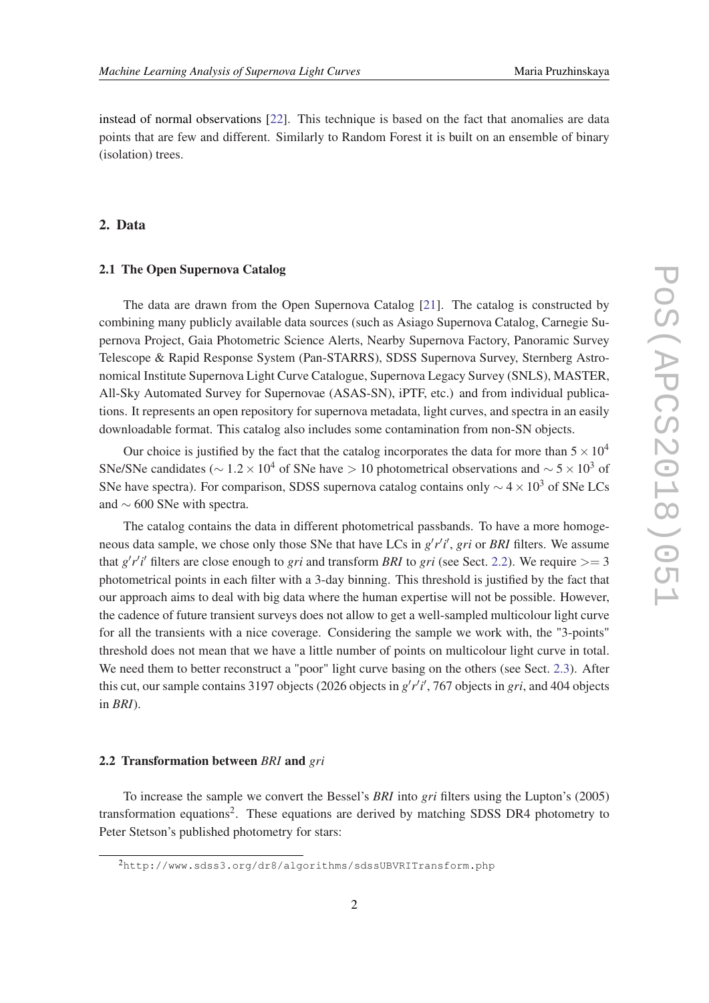instead of normal observations [[22\]](#page-11-0). This technique is based on the fact that anomalies are data points that are few and different. Similarly to Random Forest it is built on an ensemble of binary (isolation) trees.

# 2. Data

#### 2.1 The Open Supernova Catalog

The data are drawn from the Open Supernova Catalog [[21\]](#page-11-0). The catalog is constructed by combining many publicly available data sources (such as Asiago Supernova Catalog, Carnegie Supernova Project, Gaia Photometric Science Alerts, Nearby Supernova Factory, Panoramic Survey Telescope & Rapid Response System (Pan-STARRS), SDSS Supernova Survey, Sternberg Astronomical Institute Supernova Light Curve Catalogue, Supernova Legacy Survey (SNLS), MASTER, All-Sky Automated Survey for Supernovae (ASAS-SN), iPTF, etc.) and from individual publications. It represents an open repository for supernova metadata, light curves, and spectra in an easily downloadable format. This catalog also includes some contamination from non-SN objects.

Our choice is justified by the fact that the catalog incorporates the data for more than  $5 \times 10^4$ SNe/SNe candidates ( $\sim 1.2 \times 10^4$  of SNe have > 10 photometrical observations and  $\sim 5 \times 10^3$  of SNe have spectra). For comparison, SDSS supernova catalog contains only  $\sim$  4 × 10<sup>3</sup> of SNe LCs and ∼ 600 SNe with spectra.

The catalog contains the data in different photometrical passbands. To have a more homogeneous data sample, we chose only those SNe that have LCs in  $g'r'i'$ , gri or BRI filters. We assume that  $g'r'i'$  filters are close enough to *gri* and transform *BRI* to *gri* (see Sect. 2.2). We require  $>= 3$ photometrical points in each filter with a 3-day binning. This threshold is justified by the fact that our approach aims to deal with big data where the human expertise will not be possible. However, the cadence of future transient surveys does not allow to get a well-sampled multicolour light curve for all the transients with a nice coverage. Considering the sample we work with, the "3-points" threshold does not mean that we have a little number of points on multicolour light curve in total. We need them to better reconstruct a "poor" light curve basing on the others (see Sect. [2.3\)](#page-4-0). After this cut, our sample contains 3197 objects (2026 objects in  $g'r'i'$ , 767 objects in *gri*, and 404 objects in *BRI*).

#### 2.2 Transformation between *BRI* and *gri*

To increase the sample we convert the Bessel's *BRI* into *gri* filters using the Lupton's (2005) transformation equations<sup>2</sup>. These equations are derived by matching SDSS DR4 photometry to Peter Stetson's published photometry for stars:

<sup>2</sup>http://www.sdss3.org/dr8/algorithms/sdssUBVRITransform.php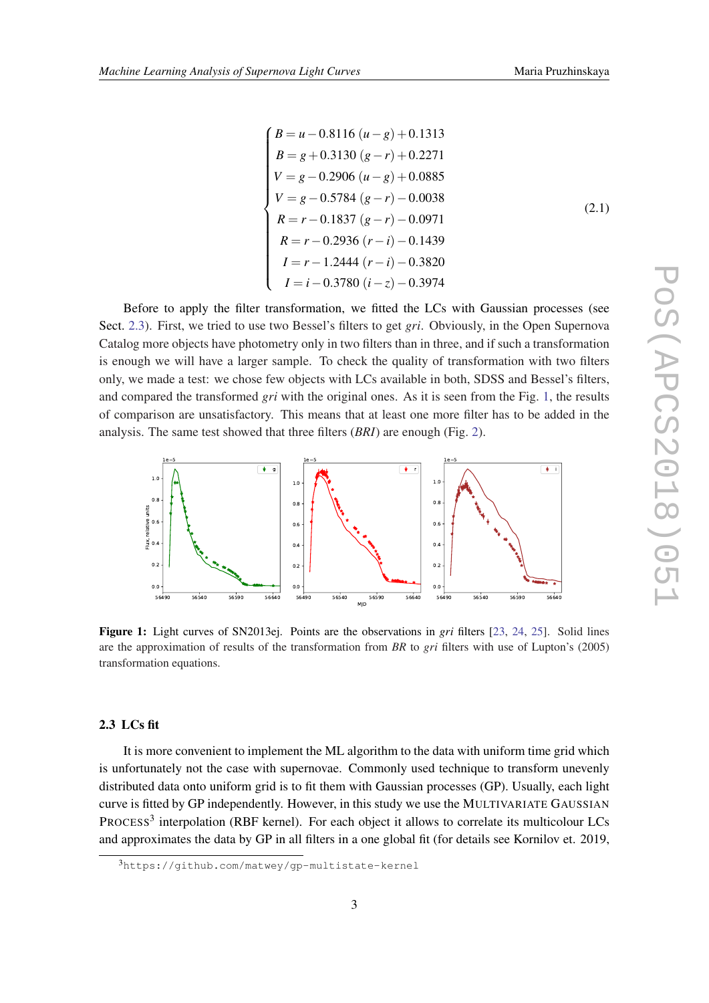<span id="page-4-0"></span> $\sqrt{ }$  $\begin{array}{c} \hline \end{array}$  $\begin{array}{c} \begin{array}{c} \begin{array}{c} \end{array} \\ \begin{array}{c} \end{array} \end{array} \end{array}$  $B = u - 0.8116$  ( $u - g$ ) + 0.1313 *B* = *g*+0.3130 (*g*−*r*) +0.2271 *V* = *g*−0.2906 (*u*−*g*) +0.0885 *V* = *g*−0.5784 (*g*−*r*)−0.0038 *R* = *r* −0.1837 (*g*−*r*)−0.0971 *R* = *r* −0.2936 (*r* −*i*)−0.1439 *I* = *r* −1.2444 (*r* −*i*)−0.3820 *I* = *i*−0.3780 (*i*−*z*)−0.3974 (2.1)

Before to apply the filter transformation, we fitted the LCs with Gaussian processes (see Sect. 2.3). First, we tried to use two Bessel's filters to get *gri*. Obviously, in the Open Supernova Catalog more objects have photometry only in two filters than in three, and if such a transformation is enough we will have a larger sample. To check the quality of transformation with two filters only, we made a test: we chose few objects with LCs available in both, SDSS and Bessel's filters, and compared the transformed *gri* with the original ones. As it is seen from the Fig. 1, the results of comparison are unsatisfactory. This means that at least one more filter has to be added in the analysis. The same test showed that three filters (*BRI*) are enough (Fig. [2\)](#page-5-0).



Figure 1: Light curves of SN2013ej. Points are the observations in *gri* filters [\[23](#page-11-0), [24](#page-11-0), [25](#page-11-0)]. Solid lines are the approximation of results of the transformation from *BR* to *gri* filters with use of Lupton's (2005) transformation equations.

## 2.3 LCs fit

It is more convenient to implement the ML algorithm to the data with uniform time grid which is unfortunately not the case with supernovae. Commonly used technique to transform unevenly distributed data onto uniform grid is to fit them with Gaussian processes (GP). Usually, each light curve is fitted by GP independently. However, in this study we use the MULTIVARIATE GAUSSIAN PROCESS<sup>3</sup> interpolation (RBF kernel). For each object it allows to correlate its multicolour LCs and approximates the data by GP in all filters in a one global fit (for details see Kornilov et. 2019,

<sup>3</sup>https://github.com/matwey/gp-multistate-kernel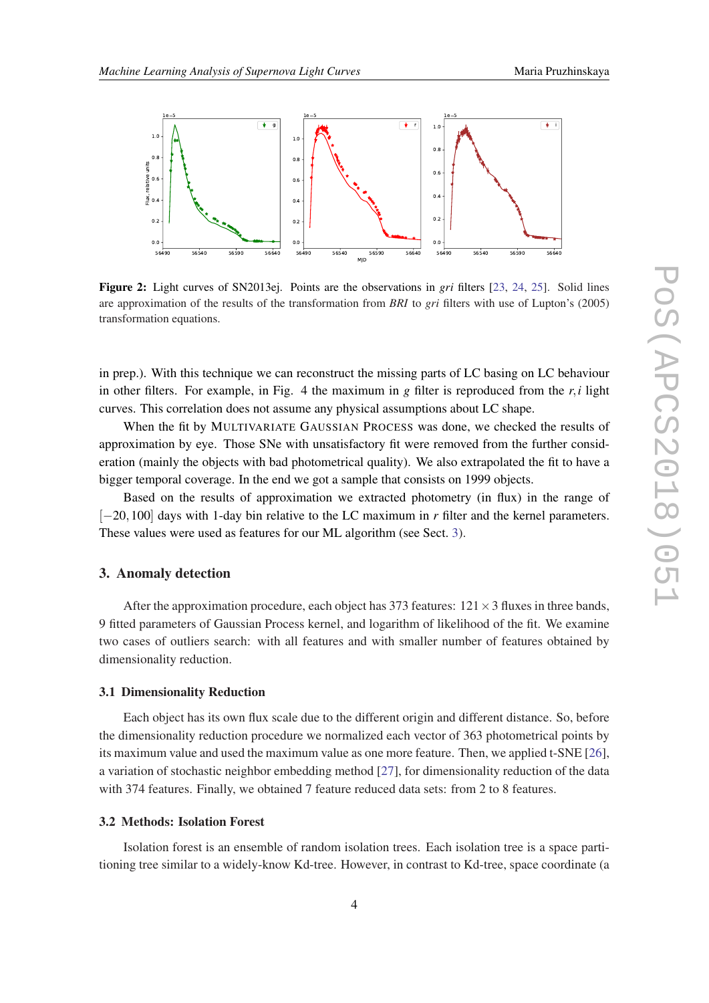<span id="page-5-0"></span>

Figure 2: Light curves of SN2013ej. Points are the observations in *gri* filters [\[23](#page-11-0), [24](#page-11-0), [25](#page-11-0)]. Solid lines are approximation of the results of the transformation from *BRI* to *gri* filters with use of Lupton's (2005) transformation equations.

in prep.). With this technique we can reconstruct the missing parts of LC basing on LC behaviour in other filters. For example, in Fig. 4 the maximum in *g* filter is reproduced from the *r*,*i* light curves. This correlation does not assume any physical assumptions about LC shape.

When the fit by MULTIVARIATE GAUSSIAN PROCESS was done, we checked the results of approximation by eye. Those SNe with unsatisfactory fit were removed from the further consideration (mainly the objects with bad photometrical quality). We also extrapolated the fit to have a bigger temporal coverage. In the end we got a sample that consists on 1999 objects.

Based on the results of approximation we extracted photometry (in flux) in the range of [−20,100] days with 1-day bin relative to the LC maximum in *r* filter and the kernel parameters. These values were used as features for our ML algorithm (see Sect. 3).

## 3. Anomaly detection

After the approximation procedure, each object has 373 features:  $121 \times 3$  fluxes in three bands, 9 fitted parameters of Gaussian Process kernel, and logarithm of likelihood of the fit. We examine two cases of outliers search: with all features and with smaller number of features obtained by dimensionality reduction.

#### 3.1 Dimensionality Reduction

Each object has its own flux scale due to the different origin and different distance. So, before the dimensionality reduction procedure we normalized each vector of 363 photometrical points by its maximum value and used the maximum value as one more feature. Then, we applied t-SNE [[26\]](#page-11-0), a variation of stochastic neighbor embedding method [\[27](#page-11-0)], for dimensionality reduction of the data with 374 features. Finally, we obtained 7 feature reduced data sets: from 2 to 8 features.

#### 3.2 Methods: Isolation Forest

Isolation forest is an ensemble of random isolation trees. Each isolation tree is a space partitioning tree similar to a widely-know Kd-tree. However, in contrast to Kd-tree, space coordinate (a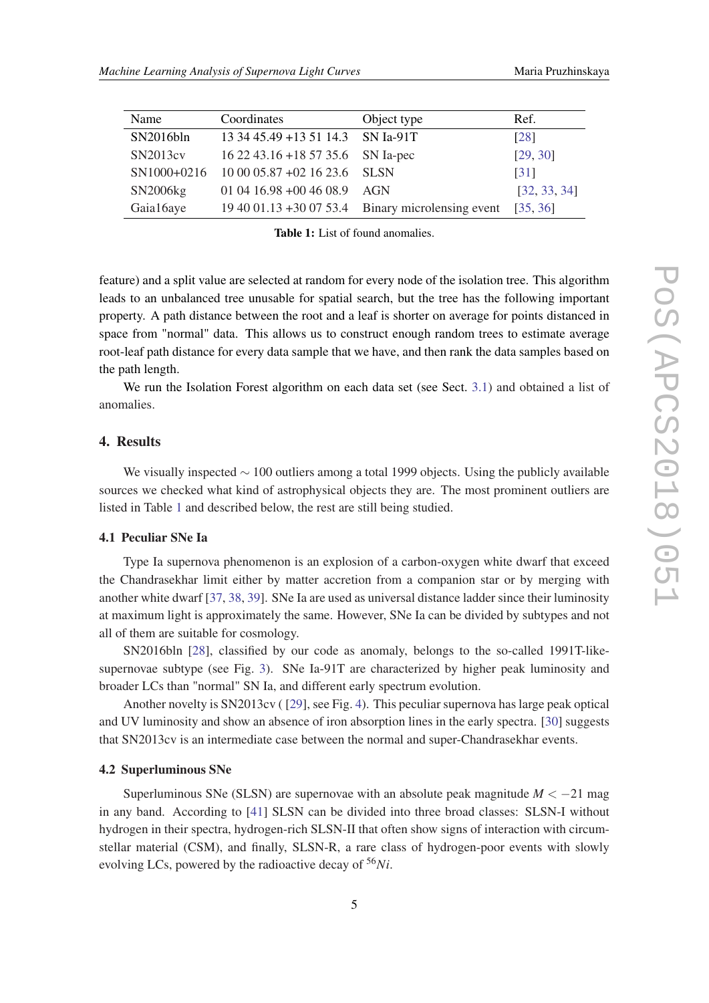| Name      | Coordinates                              | Object type                                       | Ref.         |
|-----------|------------------------------------------|---------------------------------------------------|--------------|
| SN2016bln | 13 34 45.49 + 13 51 14.3                 | $SN$ Ia-91T                                       | [28]         |
| SN2013cv  | $162243.16 + 185735.6$ SN Ia-pec         |                                                   | [29, 30]     |
|           | SN1000+0216 10 00 05.87 +02 16 23.6 SLSN |                                                   | [31]         |
| SN2006kg  | 01 04 16.98 +00 46 08.9                  | AGN                                               | [32, 33, 34] |
| Gaia16aye |                                          | 19 40 01.13 +30 07 53.4 Binary microlensing event | [35, 36]     |

Table 1: List of found anomalies.

feature) and a split value are selected at random for every node of the isolation tree. This algorithm leads to an unbalanced tree unusable for spatial search, but the tree has the following important property. A path distance between the root and a leaf is shorter on average for points distanced in space from "normal" data. This allows us to construct enough random trees to estimate average root-leaf path distance for every data sample that we have, and then rank the data samples based on the path length.

We run the Isolation Forest algorithm on each data set (see Sect. [3.1\)](#page-5-0) and obtained a list of anomalies.

## 4. Results

We visually inspected ∼ 100 outliers among a total 1999 objects. Using the publicly available sources we checked what kind of astrophysical objects they are. The most prominent outliers are listed in Table 1 and described below, the rest are still being studied.

#### 4.1 Peculiar SNe Ia

Type Ia supernova phenomenon is an explosion of a carbon-oxygen white dwarf that exceed the Chandrasekhar limit either by matter accretion from a companion star or by merging with another white dwarf [[37,](#page-12-0) [38,](#page-12-0) [39\]](#page-12-0). SNe Ia are used as universal distance ladder since their luminosity at maximum light is approximately the same. However, SNe Ia can be divided by subtypes and not all of them are suitable for cosmology.

SN2016bln [[28\]](#page-11-0), classified by our code as anomaly, belongs to the so-called 1991T-likesupernovae subtype (see Fig. [3](#page-7-0)). SNe Ia-91T are characterized by higher peak luminosity and broader LCs than "normal" SN Ia, and different early spectrum evolution.

Another novelty is SN2013cv ( [\[29](#page-11-0)], see Fig. [4\)](#page-7-0). This peculiar supernova has large peak optical and UV luminosity and show an absence of iron absorption lines in the early spectra. [[30\]](#page-11-0) suggests that SN2013cv is an intermediate case between the normal and super-Chandrasekhar events.

#### 4.2 Superluminous SNe

Superluminous SNe (SLSN) are supernovae with an absolute peak magnitude  $M < -21$  mag in any band. According to [\[41](#page-12-0)] SLSN can be divided into three broad classes: SLSN-I without hydrogen in their spectra, hydrogen-rich SLSN-II that often show signs of interaction with circumstellar material (CSM), and finally, SLSN-R, a rare class of hydrogen-poor events with slowly evolving LCs, powered by the radioactive decay of <sup>56</sup>*Ni*.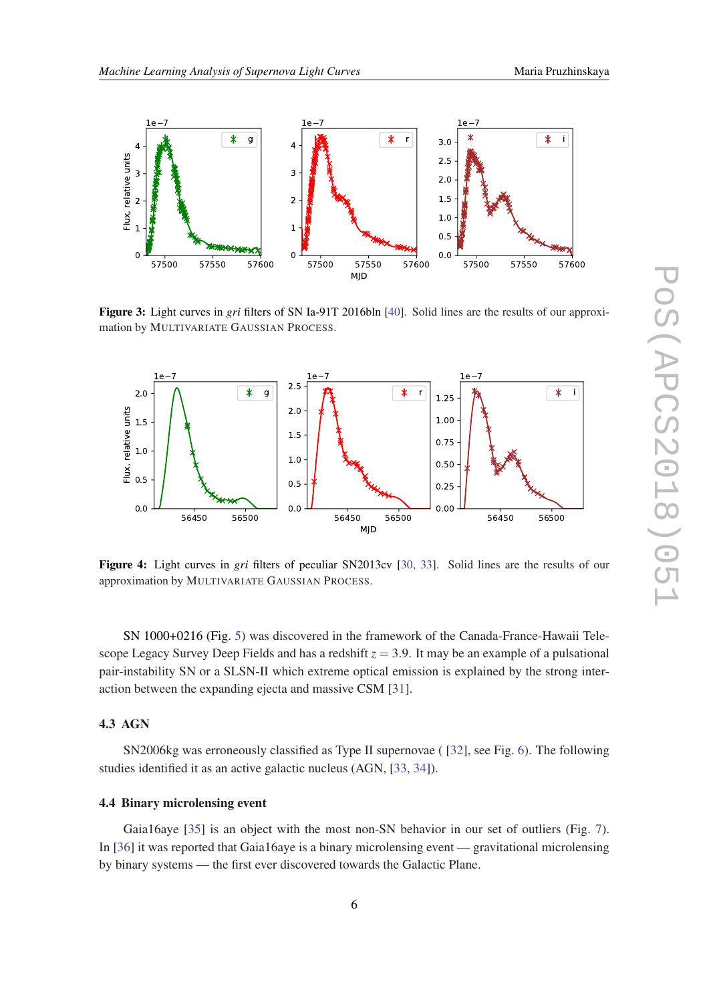<span id="page-7-0"></span>

Figure 3: Light curves in *gri* filters of SN Ia-91T 2016bln [\[40](#page-12-0)]. Solid lines are the results of our approximation by MULTIVARIATE GAUSSIAN PROCESS.



Figure 4: Light curves in *gri* filters of peculiar SN2013cv [[30,](#page-11-0) [33](#page-11-0)]. Solid lines are the results of our approximation by MULTIVARIATE GAUSSIAN PROCESS.

SN 1000+0216 (Fig. [5\)](#page-8-0) was discovered in the framework of the Canada-France-Hawaii Telescope Legacy Survey Deep Fields and has a redshift  $z = 3.9$ . It may be an example of a pulsational pair-instability SN or a SLSN-II which extreme optical emission is explained by the strong interaction between the expanding ejecta and massive CSM [\[31](#page-11-0)].

## 4.3 AGN

SN2006kg was erroneously classified as Type II supernovae ( [\[32](#page-11-0)], see Fig. [6](#page-8-0)). The following studies identified it as an active galactic nucleus (AGN, [[33,](#page-11-0) [34](#page-11-0)]).

## 4.4 Binary microlensing event

Gaia16aye [[35\]](#page-11-0) is an object with the most non-SN behavior in our set of outliers (Fig. [7\)](#page-8-0). In [[36\]](#page-11-0) it was reported that Gaia16aye is a binary microlensing event — gravitational microlensing by binary systems — the first ever discovered towards the Galactic Plane.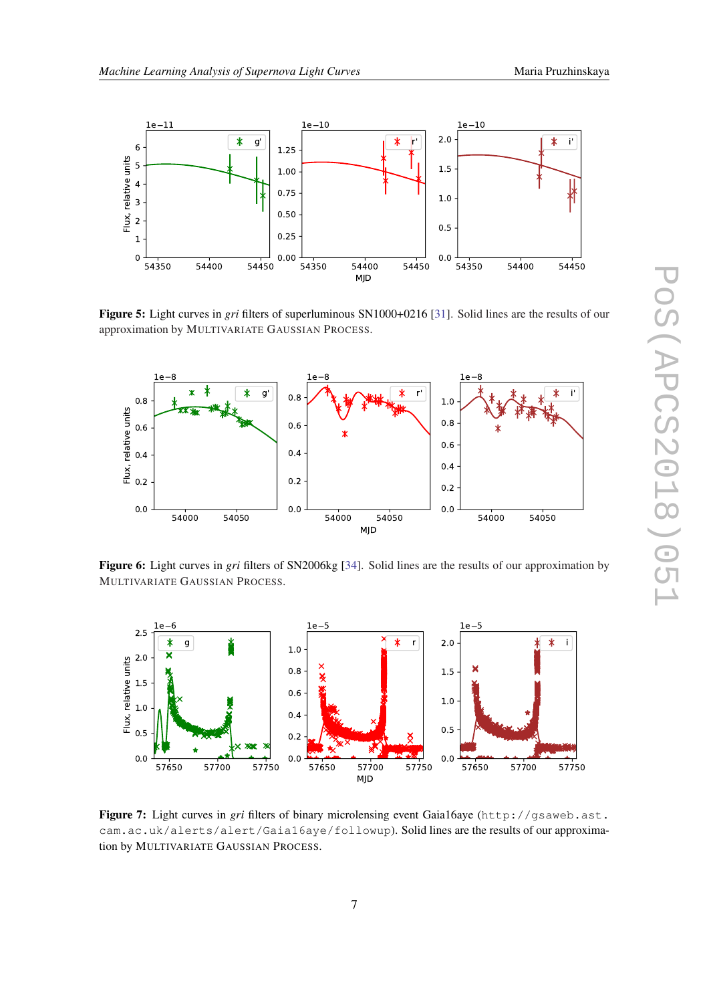

<span id="page-8-0"></span>

Figure 5: Light curves in *gri* filters of superluminous SN1000+0216 [\[31\]](#page-11-0). Solid lines are the results of our approximation by MULTIVARIATE GAUSSIAN PROCESS.



Figure 6: Light curves in *gri* filters of SN2006kg [[34\]](#page-11-0). Solid lines are the results of our approximation by MULTIVARIATE GAUSSIAN PROCESS.



Figure 7: Light curves in *gri* filters of binary microlensing event Gaia16aye (http://gsaweb.ast. cam.ac.uk/alerts/alert/Gaia16aye/followup). Solid lines are the results of our approximation by MULTIVARIATE GAUSSIAN PROCESS.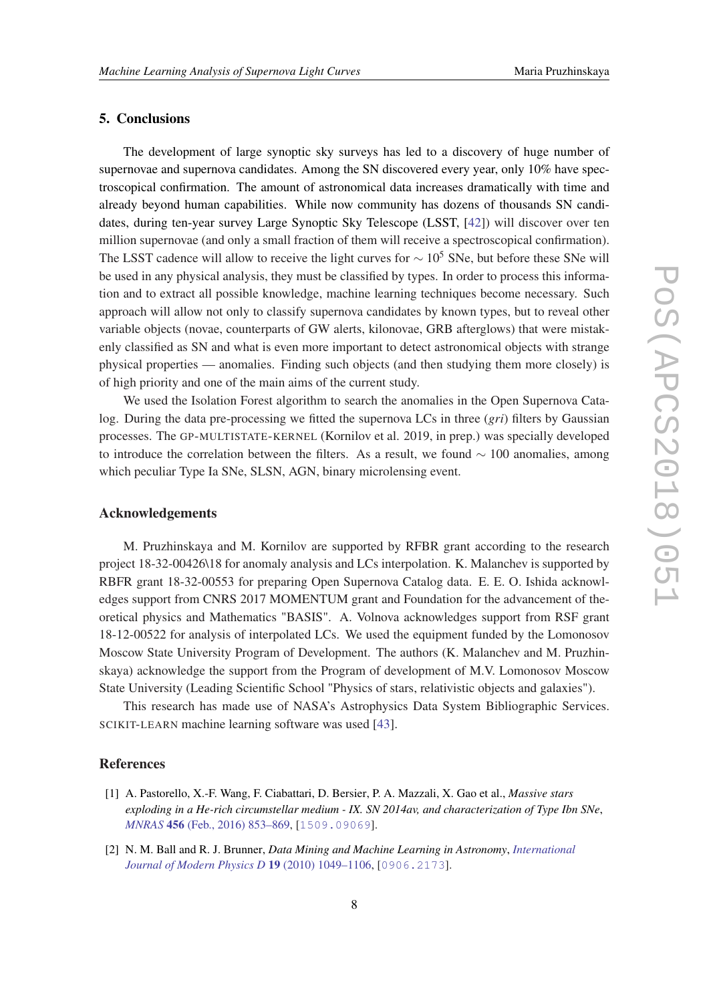# <span id="page-9-0"></span>5. Conclusions

The development of large synoptic sky surveys has led to a discovery of huge number of supernovae and supernova candidates. Among the SN discovered every year, only 10% have spectroscopical confirmation. The amount of astronomical data increases dramatically with time and already beyond human capabilities. While now community has dozens of thousands SN candidates, during ten-year survey Large Synoptic Sky Telescope (LSST, [\[42](#page-12-0)]) will discover over ten million supernovae (and only a small fraction of them will receive a spectroscopical confirmation). The LSST cadence will allow to receive the light curves for  $\sim 10^5$  SNe, but before these SNe will be used in any physical analysis, they must be classified by types. In order to process this information and to extract all possible knowledge, machine learning techniques become necessary. Such approach will allow not only to classify supernova candidates by known types, but to reveal other variable objects (novae, counterparts of GW alerts, kilonovae, GRB afterglows) that were mistakenly classified as SN and what is even more important to detect astronomical objects with strange physical properties — anomalies. Finding such objects (and then studying them more closely) is of high priority and one of the main aims of the current study.

We used the Isolation Forest algorithm to search the anomalies in the Open Supernova Catalog. During the data pre-processing we fitted the supernova LCs in three (*gri*) filters by Gaussian processes. The GP-MULTISTATE-KERNEL (Kornilov et al. 2019, in prep.) was specially developed to introduce the correlation between the filters. As a result, we found  $\sim 100$  anomalies, among which peculiar Type Ia SNe, SLSN, AGN, binary microlensing event.

## Acknowledgements

M. Pruzhinskaya and M. Kornilov are supported by RFBR grant according to the research project 18-32-00426\18 for anomaly analysis and LCs interpolation. K. Malanchev is supported by RBFR grant 18-32-00553 for preparing Open Supernova Catalog data. E. E. O. Ishida acknowledges support from CNRS 2017 MOMENTUM grant and Foundation for the advancement of theoretical physics and Mathematics "BASIS". A. Volnova acknowledges support from RSF grant 18-12-00522 for analysis of interpolated LCs. We used the equipment funded by the Lomonosov Moscow State University Program of Development. The authors (K. Malanchev and M. Pruzhinskaya) acknowledge the support from the Program of development of M.V. Lomonosov Moscow State University (Leading Scientific School "Physics of stars, relativistic objects and galaxies").

This research has made use of NASA's Astrophysics Data System Bibliographic Services. SCIKIT-LEARN machine learning software was used [[43\]](#page-12-0).

## References

- [1] A. Pastorello, X.-F. Wang, F. Ciabattari, D. Bersier, P. A. Mazzali, X. Gao et al., *Massive stars exploding in a He-rich circumstellar medium - IX. SN 2014av, and characterization of Type Ibn SNe*, *MNRAS* 456 [\(Feb., 2016\) 853–869](https://doi.org/10.1093/mnras/stv2634), [[1509.09069](https://arxiv.org/abs/1509.09069)].
- [2] N. M. Ball and R. J. Brunner, *Data Mining and Machine Learning in Astronomy*, *[International](https://doi.org/10.1142/S0218271810017160) [Journal of Modern Physics D](https://doi.org/10.1142/S0218271810017160)* 19 (2010) 1049–1106, [[0906.2173](https://arxiv.org/abs/0906.2173)].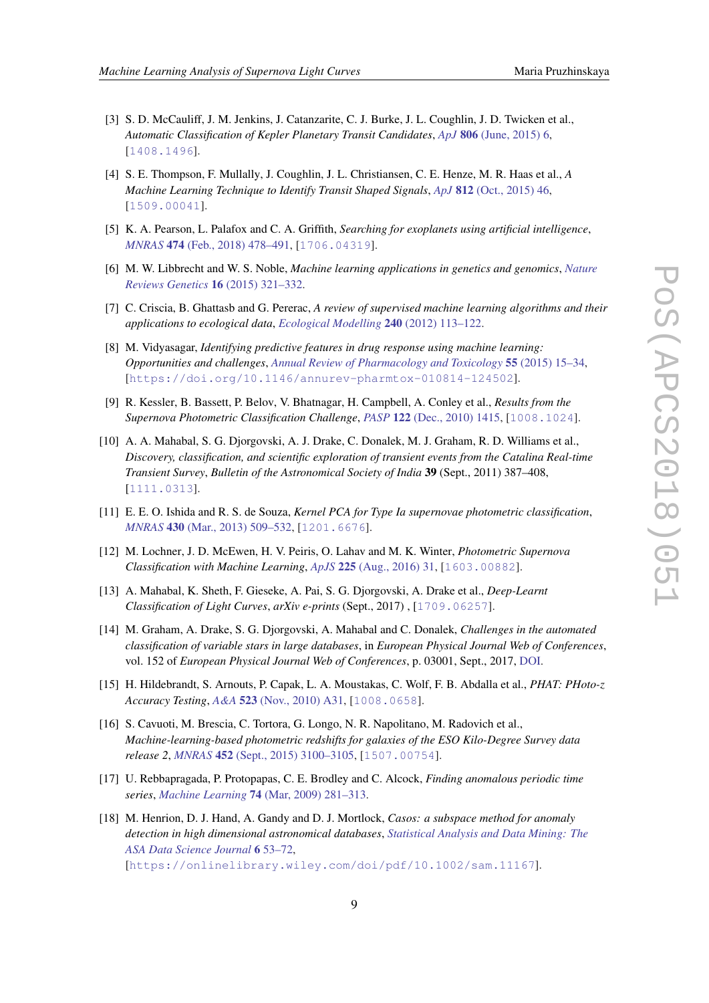- <span id="page-10-0"></span>[3] S. D. McCauliff, J. M. Jenkins, J. Catanzarite, C. J. Burke, J. L. Coughlin, J. D. Twicken et al., *Automatic Classification of Kepler Planetary Transit Candidates*, *ApJ* 806 [\(June, 2015\) 6](https://doi.org/10.1088/0004-637X/806/1/6), [[1408.1496](https://arxiv.org/abs/1408.1496)].
- [4] S. E. Thompson, F. Mullally, J. Coughlin, J. L. Christiansen, C. E. Henze, M. R. Haas et al., *A Machine Learning Technique to Identify Transit Shaped Signals*, *ApJ* 812 [\(Oct., 2015\) 46](https://doi.org/10.1088/0004-637X/812/1/46), [[1509.00041](https://arxiv.org/abs/1509.00041)].
- [5] K. A. Pearson, L. Palafox and C. A. Griffith, *Searching for exoplanets using artificial intelligence*, *MNRAS* 474 [\(Feb., 2018\) 478–491](https://doi.org/10.1093/mnras/stx2761), [[1706.04319](https://arxiv.org/abs/1706.04319)].
- [6] M. W. Libbrecht and W. S. Noble, *Machine learning applications in genetics and genomics*, *[Nature](https://doi.org/10.1038/nrg3920) [Reviews Genetics](https://doi.org/10.1038/nrg3920)* 16 (2015) 321–332.
- [7] C. Criscia, B. Ghattasb and G. Pererac, *A review of supervised machine learning algorithms and their applications to ecological data*, *[Ecological Modelling](https://doi.org/10.1016/j.ecolmodel.2012.03.001)* 240 (2012) 113–122.
- [8] M. Vidyasagar, *Identifying predictive features in drug response using machine learning: Opportunities and challenges*, *[Annual Review of Pharmacology and Toxicology](https://doi.org/10.1146/annurev-pharmtox-010814-124502)* 55 (2015) 15–34, [[https://doi.org/10.1146/annurev-pharmtox-010814-124502](https://arxiv.org/abs/https://doi.org/10.1146/annurev-pharmtox-010814-124502)].
- [9] R. Kessler, B. Bassett, P. Belov, V. Bhatnagar, H. Campbell, A. Conley et al., *Results from the Supernova Photometric Classification Challenge*, *PASP* 122 [\(Dec., 2010\) 1415,](https://doi.org/10.1086/657607) [[1008.1024](https://arxiv.org/abs/1008.1024)].
- [10] A. A. Mahabal, S. G. Djorgovski, A. J. Drake, C. Donalek, M. J. Graham, R. D. Williams et al., *Discovery, classification, and scientific exploration of transient events from the Catalina Real-time Transient Survey*, *Bulletin of the Astronomical Society of India* 39 (Sept., 2011) 387–408, [[1111.0313](https://arxiv.org/abs/1111.0313)].
- [11] E. E. O. Ishida and R. S. de Souza, *Kernel PCA for Type Ia supernovae photometric classification*, *MNRAS* 430 [\(Mar., 2013\) 509–532,](https://doi.org/10.1093/mnras/sts650) [[1201.6676](https://arxiv.org/abs/1201.6676)].
- [12] M. Lochner, J. D. McEwen, H. V. Peiris, O. Lahav and M. K. Winter, *Photometric Supernova Classification with Machine Learning*, *ApJS* 225 [\(Aug., 2016\) 31](https://doi.org/10.3847/0067-0049/225/2/31), [[1603.00882](https://arxiv.org/abs/1603.00882)].
- [13] A. Mahabal, K. Sheth, F. Gieseke, A. Pai, S. G. Djorgovski, A. Drake et al., *Deep-Learnt Classification of Light Curves*, *arXiv e-prints* (Sept., 2017) , [[1709.06257](https://arxiv.org/abs/1709.06257)].
- [14] M. Graham, A. Drake, S. G. Djorgovski, A. Mahabal and C. Donalek, *Challenges in the automated classification of variable stars in large databases*, in *European Physical Journal Web of Conferences*, vol. 152 of *European Physical Journal Web of Conferences*, p. 03001, Sept., 2017, [DOI](https://doi.org/10.1051/epjconf/201715203001).
- [15] H. Hildebrandt, S. Arnouts, P. Capak, L. A. Moustakas, C. Wolf, F. B. Abdalla et al., *PHAT: PHoto-z Accuracy Testing*, *A&A* 523 [\(Nov., 2010\) A31,](https://doi.org/10.1051/0004-6361/201014885) [[1008.0658](https://arxiv.org/abs/1008.0658)].
- [16] S. Cavuoti, M. Brescia, C. Tortora, G. Longo, N. R. Napolitano, M. Radovich et al., *Machine-learning-based photometric redshifts for galaxies of the ESO Kilo-Degree Survey data release 2*, *MNRAS* 452 [\(Sept., 2015\) 3100–3105](https://doi.org/10.1093/mnras/stv1496), [[1507.00754](https://arxiv.org/abs/1507.00754)].
- [17] U. Rebbapragada, P. Protopapas, C. E. Brodley and C. Alcock, *Finding anomalous periodic time series*, *Machine Learning* 74 [\(Mar, 2009\) 281–313](https://doi.org/10.1007/s10994-008-5093-3).
- [18] M. Henrion, D. J. Hand, A. Gandy and D. J. Mortlock, *Casos: a subspace method for anomaly detection in high dimensional astronomical databases*, *[Statistical Analysis and Data Mining: The](https://doi.org/10.1002/sam.11167) [ASA Data Science Journal](https://doi.org/10.1002/sam.11167)* 6 53–72, [[https://onlinelibrary.wiley.com/doi/pdf/10.1002/sam.11167](https://arxiv.org/abs/https://onlinelibrary.wiley.com/doi/pdf/10.1002/sam.11167)].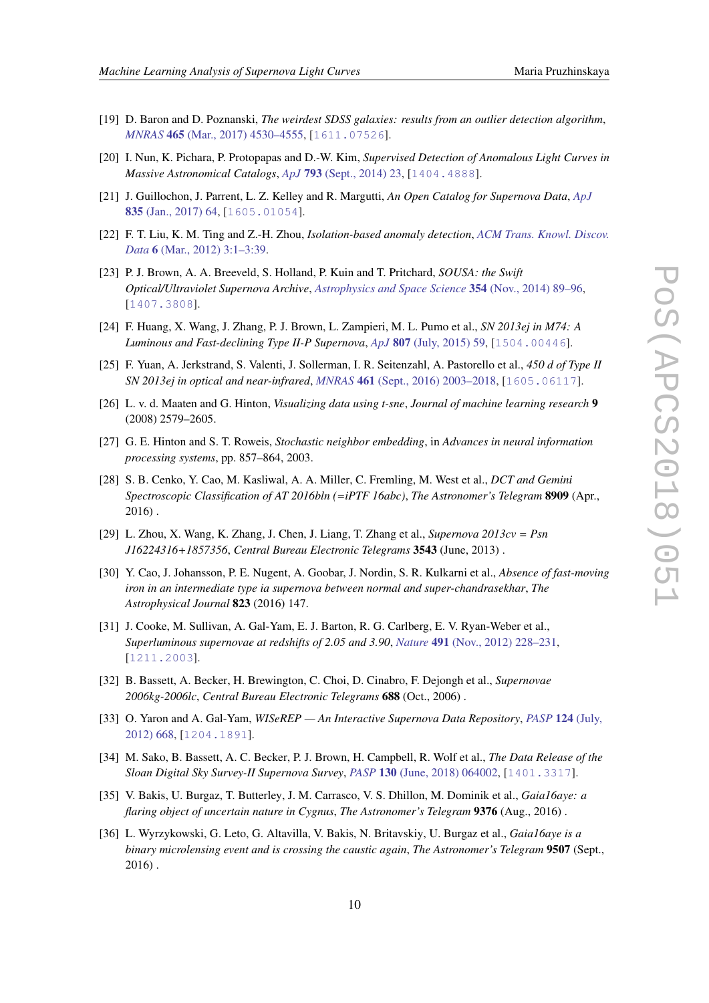- <span id="page-11-0"></span>[19] D. Baron and D. Poznanski, *The weirdest SDSS galaxies: results from an outlier detection algorithm*, *MNRAS* 465 [\(Mar., 2017\) 4530–4555,](https://doi.org/10.1093/mnras/stw3021) [[1611.07526](https://arxiv.org/abs/1611.07526)].
- [20] I. Nun, K. Pichara, P. Protopapas and D.-W. Kim, *Supervised Detection of Anomalous Light Curves in Massive Astronomical Catalogs*, *ApJ* 793 [\(Sept., 2014\) 23](https://doi.org/10.1088/0004-637X/793/1/23), [[1404.4888](https://arxiv.org/abs/1404.4888)].
- [21] J. Guillochon, J. Parrent, L. Z. Kelley and R. Margutti, *An Open Catalog for Supernova Data*, *[ApJ](https://doi.org/10.3847/1538-4357/835/1/64)* 835 [\(Jan., 2017\) 64,](https://doi.org/10.3847/1538-4357/835/1/64) [[1605.01054](https://arxiv.org/abs/1605.01054)].
- [22] F. T. Liu, K. M. Ting and Z.-H. Zhou, *Isolation-based anomaly detection*, *[ACM Trans. Knowl. Discov.](https://doi.org/10.1145/2133360.2133363) Data* 6 [\(Mar., 2012\) 3:1–3:39](https://doi.org/10.1145/2133360.2133363).
- [23] P. J. Brown, A. A. Breeveld, S. Holland, P. Kuin and T. Pritchard, *SOUSA: the Swift Optical/Ultraviolet Supernova Archive*, *[Astrophysics and Space Science](https://doi.org/10.1007/s10509-014-2059-8)* 354 (Nov., 2014) 89–96, [[1407.3808](https://arxiv.org/abs/1407.3808)].
- [24] F. Huang, X. Wang, J. Zhang, P. J. Brown, L. Zampieri, M. L. Pumo et al., *SN 2013ej in M74: A Luminous and Fast-declining Type II-P Supernova*, *ApJ* 807 [\(July, 2015\) 59](https://doi.org/10.1088/0004-637X/807/1/59), [[1504.00446](https://arxiv.org/abs/1504.00446)].
- [25] F. Yuan, A. Jerkstrand, S. Valenti, J. Sollerman, I. R. Seitenzahl, A. Pastorello et al., *450 d of Type II SN 2013ej in optical and near-infrared*, *MNRAS* 461 [\(Sept., 2016\) 2003–2018,](https://doi.org/10.1093/mnras/stw1419) [[1605.06117](https://arxiv.org/abs/1605.06117)].
- [26] L. v. d. Maaten and G. Hinton, *Visualizing data using t-sne*, *Journal of machine learning research* 9 (2008) 2579–2605.
- [27] G. E. Hinton and S. T. Roweis, *Stochastic neighbor embedding*, in *Advances in neural information processing systems*, pp. 857–864, 2003.
- [28] S. B. Cenko, Y. Cao, M. Kasliwal, A. A. Miller, C. Fremling, M. West et al., *DCT and Gemini Spectroscopic Classification of AT 2016bln (=iPTF 16abc)*, *The Astronomer's Telegram* 8909 (Apr., 2016) .
- [29] L. Zhou, X. Wang, K. Zhang, J. Chen, J. Liang, T. Zhang et al., *Supernova 2013cv = Psn J16224316+1857356*, *Central Bureau Electronic Telegrams* 3543 (June, 2013) .
- [30] Y. Cao, J. Johansson, P. E. Nugent, A. Goobar, J. Nordin, S. R. Kulkarni et al., *Absence of fast-moving iron in an intermediate type ia supernova between normal and super-chandrasekhar*, *The Astrophysical Journal* 823 (2016) 147.
- [31] J. Cooke, M. Sullivan, A. Gal-Yam, E. J. Barton, R. G. Carlberg, E. V. Ryan-Weber et al., *Superluminous supernovae at redshifts of 2.05 and 3.90*, *Nature* 491 [\(Nov., 2012\) 228–231,](https://doi.org/10.1038/nature11521) [[1211.2003](https://arxiv.org/abs/1211.2003)].
- [32] B. Bassett, A. Becker, H. Brewington, C. Choi, D. Cinabro, F. Dejongh et al., *Supernovae 2006kg-2006lc*, *Central Bureau Electronic Telegrams* 688 (Oct., 2006) .
- [33] O. Yaron and A. Gal-Yam, *WISeREP An Interactive Supernova Data Repository*, *[PASP](https://doi.org/10.1086/666656)* 124 (July, [2012\) 668](https://doi.org/10.1086/666656), [[1204.1891](https://arxiv.org/abs/1204.1891)].
- [34] M. Sako, B. Bassett, A. C. Becker, P. J. Brown, H. Campbell, R. Wolf et al., *The Data Release of the Sloan Digital Sky Survey-II Supernova Survey*, *PASP* 130 [\(June, 2018\) 064002,](https://doi.org/10.1088/1538-3873/aab4e0) [[1401.3317](https://arxiv.org/abs/1401.3317)].
- [35] V. Bakis, U. Burgaz, T. Butterley, J. M. Carrasco, V. S. Dhillon, M. Dominik et al., *Gaia16aye: a flaring object of uncertain nature in Cygnus*, *The Astronomer's Telegram* 9376 (Aug., 2016) .
- [36] L. Wyrzykowski, G. Leto, G. Altavilla, V. Bakis, N. Britavskiy, U. Burgaz et al., *Gaia16aye is a binary microlensing event and is crossing the caustic again*, *The Astronomer's Telegram* 9507 (Sept., 2016) .